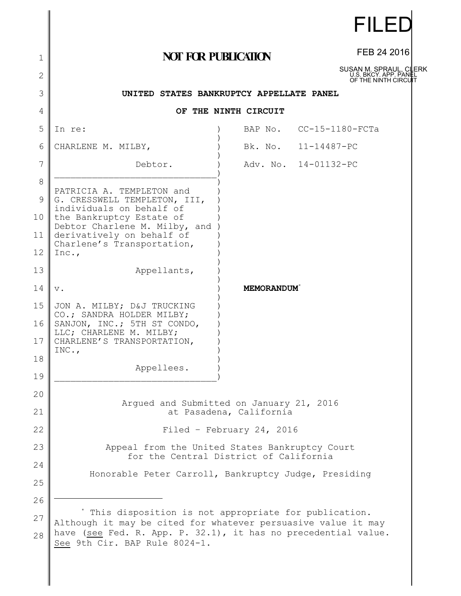|              |                                                                                                                                 |                   | FILED                                                                   |  |
|--------------|---------------------------------------------------------------------------------------------------------------------------------|-------------------|-------------------------------------------------------------------------|--|
| 1            | <b>NOT FOR PUBLICATION</b>                                                                                                      |                   | FEB 24 2016                                                             |  |
| $\mathbf{2}$ |                                                                                                                                 |                   | SUSAN M. SPRAUL, CLERK<br>U.S. BKCY, APP, PANEL<br>OF THE NINTH CIRCUIT |  |
| 3            | UNITED STATES BANKRUPTCY APPELLATE PANEL                                                                                        |                   |                                                                         |  |
| 4            | OF THE NINTH CIRCUIT                                                                                                            |                   |                                                                         |  |
| 5            | In re:                                                                                                                          | BAP No.           | $CC-15-1180-FCTa$                                                       |  |
| 6            | CHARLENE M. MILBY,                                                                                                              | Bk. No.           | 11-14487-PC                                                             |  |
| 7            | Debtor.                                                                                                                         |                   | Adv. No. 14-01132-PC                                                    |  |
| 8            |                                                                                                                                 |                   |                                                                         |  |
| 9            | PATRICIA A. TEMPLETON and<br>G. CRESSWELL TEMPLETON, III,<br>individuals on behalf of                                           |                   |                                                                         |  |
| 10           | the Bankruptcy Estate of<br>Debtor Charlene M. Milby, and                                                                       |                   |                                                                         |  |
| 11           | derivatively on behalf of<br>Charlene's Transportation,                                                                         |                   |                                                                         |  |
| 12           | Inc.,                                                                                                                           |                   |                                                                         |  |
| 13           | Appellants,                                                                                                                     |                   |                                                                         |  |
| 14           | $\mathbf v$ .                                                                                                                   | <b>MEMORANDUM</b> |                                                                         |  |
| 15           | JON A. MILBY; D&J TRUCKING<br>CO.; SANDRA HOLDER MILBY;                                                                         |                   |                                                                         |  |
| 16           | SANJON, INC.; 5TH ST CONDO,<br>LLC; CHARLENE M. MILBY;                                                                          |                   |                                                                         |  |
| 17           | CHARLENE'S TRANSPORTATION,<br>INC.,                                                                                             |                   |                                                                         |  |
| 18           | Appellees.                                                                                                                      |                   |                                                                         |  |
| 19           |                                                                                                                                 |                   |                                                                         |  |
| 20           |                                                                                                                                 |                   |                                                                         |  |
| 21           | Arqued and Submitted on January 21, 2016<br>at Pasadena, California                                                             |                   |                                                                         |  |
| 22           | Filed - February 24, 2016                                                                                                       |                   |                                                                         |  |
| 23           | Appeal from the United States Bankruptcy Court                                                                                  |                   |                                                                         |  |
| 24           | for the Central District of California                                                                                          |                   |                                                                         |  |
| 25           | Honorable Peter Carroll, Bankruptcy Judge, Presiding                                                                            |                   |                                                                         |  |
| 26           |                                                                                                                                 |                   |                                                                         |  |
| 27           | * This disposition is not appropriate for publication.                                                                          |                   |                                                                         |  |
| 28           | Although it may be cited for whatever persuasive value it may<br>have (see Fed. R. App. P. 32.1), it has no precedential value. |                   |                                                                         |  |

See 9th Cir. BAP Rule 8024-1.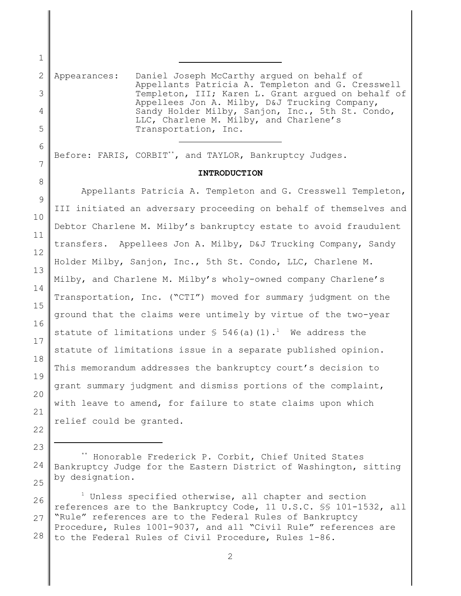2 3 4 Appearances: Daniel Joseph McCarthy argued on behalf of Appellants Patricia A. Templeton and G. Cresswell Templeton, III; Karen L. Grant argued on behalf of Appellees Jon A. Milby, D&J Trucking Company, Sandy Holder Milby, Sanjon, Inc., 5th St. Condo, LLC, Charlene M. Milby, and Charlene's Transportation, Inc.  $\overline{a}$ 

Before: FARIS, CORBIT\*\*, and TAYLOR, Bankruptcy Judges.

 $\overline{a}$ 

## **INTRODUCTION**

Appellants Patricia A. Templeton and G. Cresswell Templeton, III initiated an adversary proceeding on behalf of themselves and Debtor Charlene M. Milby's bankruptcy estate to avoid fraudulent transfers. Appellees Jon A. Milby, D&J Trucking Company, Sandy Holder Milby, Sanjon, Inc., 5th St. Condo, LLC, Charlene M. Milby, and Charlene M. Milby's wholy-owned company Charlene's Transportation, Inc. ("CTI") moved for summary judgment on the ground that the claims were untimely by virtue of the two-year statute of limitations under  $\frac{1}{2}$  546(a)(1).<sup>1</sup> We address the statute of limitations issue in a separate published opinion. This memorandum addresses the bankruptcy court's decision to grant summary judgment and dismiss portions of the complaint, with leave to amend, for failure to state claims upon which relief could be granted.

<sup>\*\*</sup> Honorable Frederick P. Corbit, Chief United States Bankruptcy Judge for the Eastern District of Washington, sitting by designation.

 $1$  Unless specified otherwise, all chapter and section references are to the Bankruptcy Code, 11 U.S.C. §§ 101-1532, all "Rule" references are to the Federal Rules of Bankruptcy Procedure, Rules 1001-9037, and all "Civil Rule" references are to the Federal Rules of Civil Procedure, Rules 1-86.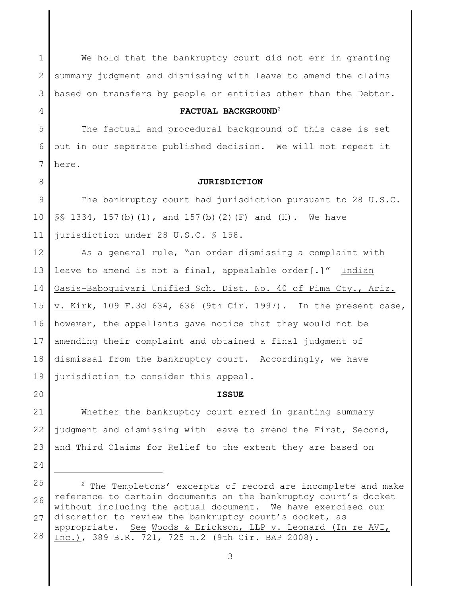1 2 3 We hold that the bankruptcy court did not err in granting summary judgment and dismissing with leave to amend the claims based on transfers by people or entities other than the Debtor.

### **FACTUAL BACKGROUND**<sup>2</sup>

5 6 7 The factual and procedural background of this case is set out in our separate published decision. We will not repeat it here.

4

8

20

24

**JURISDICTION**

9 10 11 The bankruptcy court had jurisdiction pursuant to 28 U.S.C.  $\S$ § 1334, 157(b)(1), and 157(b)(2)(F) and (H). We have jurisdiction under 28 U.S.C. § 158.

12 13 14 15 16 17 18 19 As a general rule, "an order dismissing a complaint with leave to amend is not a final, appealable order[.]" Indian Oasis-Baboquivari Unified Sch. Dist. No. 40 of Pima Cty., Ariz. v. Kirk, 109 F.3d 634, 636 (9th Cir. 1997). In the present case, however, the appellants gave notice that they would not be amending their complaint and obtained a final judgment of dismissal from the bankruptcy court. Accordingly, we have jurisdiction to consider this appeal.

**ISSUE**

21 22 23 Whether the bankruptcy court erred in granting summary judgment and dismissing with leave to amend the First, Second, and Third Claims for Relief to the extent they are based on

<sup>25</sup> 26 27 28 <sup>2</sup> The Templetons' excerpts of record are incomplete and make reference to certain documents on the bankruptcy court's docket without including the actual document. We have exercised our discretion to review the bankruptcy court's docket, as appropriate. See Woods & Erickson, LLP v. Leonard (In re AVI, Inc.), 389 B.R. 721, 725 n.2 (9th Cir. BAP 2008).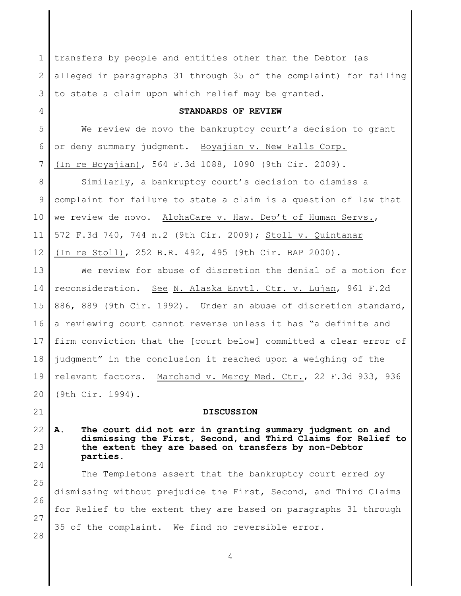1 2 3 transfers by people and entities other than the Debtor (as alleged in paragraphs 31 through 35 of the complaint) for failing to state a claim upon which relief may be granted.

### **STANDARDS OF REVIEW**

5 6 7 We review de novo the bankruptcy court's decision to grant or deny summary judgment. Boyajian v. New Falls Corp. (In re Boyajian), 564 F.3d 1088, 1090 (9th Cir. 2009).

4

21

24

25

26

27

28

8 9 10 11 12 Similarly, a bankruptcy court's decision to dismiss a complaint for failure to state a claim is a question of law that we review de novo. AlohaCare v. Haw. Dep't of Human Servs., 572 F.3d 740, 744 n.2 (9th Cir. 2009); Stoll v. Quintanar (In re Stoll), 252 B.R. 492, 495 (9th Cir. BAP 2000).

13 14 15 16 17 18 19 20 We review for abuse of discretion the denial of a motion for reconsideration. See N. Alaska Envtl. Ctr. v. Lujan, 961 F.2d 886, 889 (9th Cir. 1992). Under an abuse of discretion standard, a reviewing court cannot reverse unless it has "a definite and firm conviction that the [court below] committed a clear error of judgment" in the conclusion it reached upon a weighing of the relevant factors. Marchand v. Mercy Med. Ctr., 22 F.3d 933, 936 (9th Cir. 1994).

### **DISCUSSION**

22 23 **A. The court did not err in granting summary judgment on and dismissing the First, Second, and Third Claims for Relief to the extent they are based on transfers by non-Debtor parties.** 

The Templetons assert that the bankruptcy court erred by dismissing without prejudice the First, Second, and Third Claims for Relief to the extent they are based on paragraphs 31 through 35 of the complaint. We find no reversible error.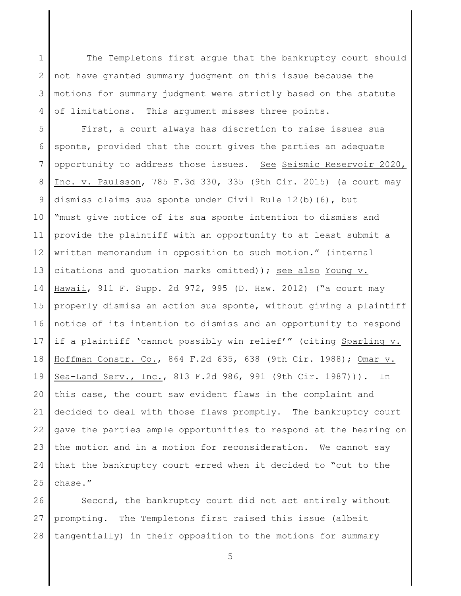1 2 3 4 The Templetons first argue that the bankruptcy court should not have granted summary judgment on this issue because the motions for summary judgment were strictly based on the statute of limitations. This argument misses three points.

5 6 7 8 9 10 11 12 13 14 15 16 17 18 19 20 21 22 23 24 25 First, a court always has discretion to raise issues sua sponte, provided that the court gives the parties an adequate opportunity to address those issues. See Seismic Reservoir 2020, Inc. v. Paulsson, 785 F.3d 330, 335 (9th Cir. 2015) (a court may dismiss claims sua sponte under Civil Rule 12(b)(6), but "must give notice of its sua sponte intention to dismiss and provide the plaintiff with an opportunity to at least submit a written memorandum in opposition to such motion." (internal citations and quotation marks omitted)); see also Young v. Hawaii, 911 F. Supp. 2d 972, 995 (D. Haw. 2012) ("a court may properly dismiss an action sua sponte, without giving a plaintiff notice of its intention to dismiss and an opportunity to respond if a plaintiff 'cannot possibly win relief'" (citing Sparling v. Hoffman Constr. Co., 864 F.2d 635, 638 (9th Cir. 1988); Omar v. Sea–Land Serv., Inc., 813 F.2d 986, 991 (9th Cir. 1987))). In this case, the court saw evident flaws in the complaint and decided to deal with those flaws promptly. The bankruptcy court gave the parties ample opportunities to respond at the hearing on the motion and in a motion for reconsideration. We cannot say that the bankruptcy court erred when it decided to "cut to the chase."

26 27 28 Second, the bankruptcy court did not act entirely without prompting. The Templetons first raised this issue (albeit tangentially) in their opposition to the motions for summary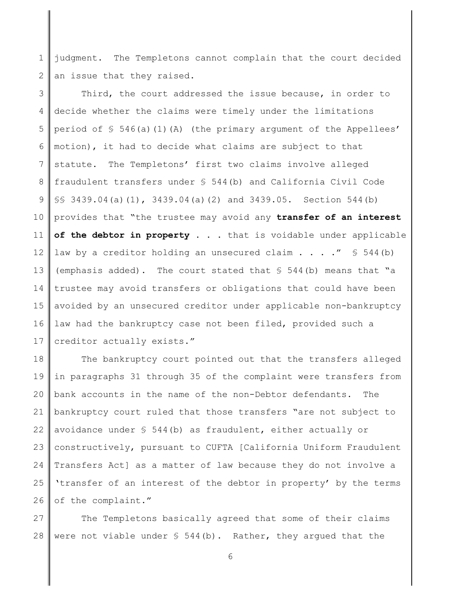1 2 judgment. The Templetons cannot complain that the court decided an issue that they raised.

3 4 5 6 7 8 9 10 11 12 13 14 15 16 17 Third, the court addressed the issue because, in order to decide whether the claims were timely under the limitations period of  $\frac{1}{2}$  546(a)(1)(A) (the primary argument of the Appellees' motion), it had to decide what claims are subject to that statute. The Templetons' first two claims involve alleged fraudulent transfers under § 544(b) and California Civil Code §§ 3439.04(a)(1), 3439.04(a)(2) and 3439.05. Section 544(b) provides that "the trustee may avoid any **transfer of an interest of the debtor in property . . .** that is voidable under applicable law by a creditor holding an unsecured claim . . . . "  $\lessgtr$  544(b) (emphasis added). The court stated that  $\frac{1}{5}$  544(b) means that "a trustee may avoid transfers or obligations that could have been avoided by an unsecured creditor under applicable non-bankruptcy law had the bankruptcy case not been filed, provided such a creditor actually exists."

18 19 20 21 22 23 24 25 26 The bankruptcy court pointed out that the transfers alleged in paragraphs 31 through 35 of the complaint were transfers from bank accounts in the name of the non-Debtor defendants. The bankruptcy court ruled that those transfers "are not subject to avoidance under  $S$  544(b) as fraudulent, either actually or constructively, pursuant to CUFTA [California Uniform Fraudulent Transfers Act] as a matter of law because they do not involve a 'transfer of an interest of the debtor in property' by the terms of the complaint."

27 28 The Templetons basically agreed that some of their claims were not viable under  $\S$  544(b). Rather, they argued that the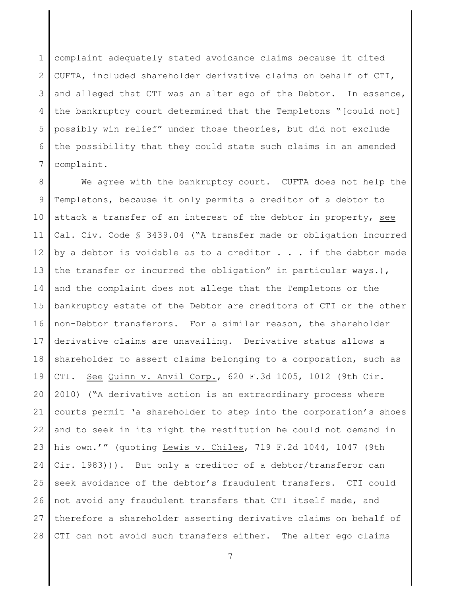1 2 3 4 5 6 7 complaint adequately stated avoidance claims because it cited CUFTA, included shareholder derivative claims on behalf of CTI, and alleged that CTI was an alter ego of the Debtor. In essence, the bankruptcy court determined that the Templetons "[could not] possibly win relief" under those theories, but did not exclude the possibility that they could state such claims in an amended complaint.

8 9 10 11 12 13 14 15 16 17 18 19 20 21 22 23 24 25 26 27 28 We agree with the bankruptcy court. CUFTA does not help the Templetons, because it only permits a creditor of a debtor to attack a transfer of an interest of the debtor in property, see Cal. Civ. Code § 3439.04 ("A transfer made or obligation incurred by a debtor is voidable as to a creditor  $\ldots$  if the debtor made the transfer or incurred the obligation" in particular ways.), and the complaint does not allege that the Templetons or the bankruptcy estate of the Debtor are creditors of CTI or the other non-Debtor transferors. For a similar reason, the shareholder derivative claims are unavailing. Derivative status allows a shareholder to assert claims belonging to a corporation, such as CTI. See Quinn v. Anvil Corp., 620 F.3d 1005, 1012 (9th Cir. 2010) ("A derivative action is an extraordinary process where courts permit 'a shareholder to step into the corporation's shoes and to seek in its right the restitution he could not demand in his own.'" (quoting Lewis v. Chiles, 719 F.2d 1044, 1047 (9th Cir. 1983))). But only a creditor of a debtor/transferor can seek avoidance of the debtor's fraudulent transfers. CTI could not avoid any fraudulent transfers that CTI itself made, and therefore a shareholder asserting derivative claims on behalf of CTI can not avoid such transfers either. The alter ego claims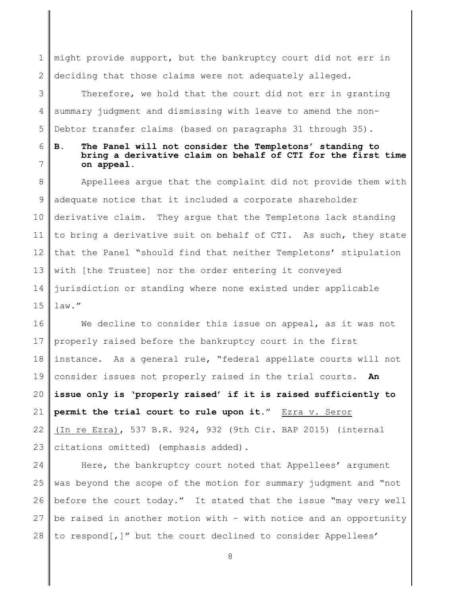1 2 might provide support, but the bankruptcy court did not err in deciding that those claims were not adequately alleged.

3 4 5 Therefore, we hold that the court did not err in granting summary judgment and dismissing with leave to amend the non-Debtor transfer claims (based on paragraphs 31 through 35).

# 6

7

## **B. The Panel will not consider the Templetons' standing to bring a derivative claim on behalf of CTI for the first time on appeal.**

8 9 10 11 12 13 14 15 Appellees argue that the complaint did not provide them with adequate notice that it included a corporate shareholder derivative claim. They argue that the Templetons lack standing to bring a derivative suit on behalf of CTI. As such, they state that the Panel "should find that neither Templetons' stipulation with [the Trustee] nor the order entering it conveyed jurisdiction or standing where none existed under applicable law."

16 17 18 19 20 21 22 23 We decline to consider this issue on appeal, as it was not properly raised before the bankruptcy court in the first instance. As a general rule, "federal appellate courts will not consider issues not properly raised in the trial courts. **An issue only is 'properly raised' if it is raised sufficiently to permit the trial court to rule upon it.**" Ezra v. Seror (In re Ezra), 537 B.R. 924, 932 (9th Cir. BAP 2015) (internal citations omitted) (emphasis added).

24 25 26 27 28 Here, the bankruptcy court noted that Appellees' argument was beyond the scope of the motion for summary judgment and "not before the court today." It stated that the issue "may very well be raised in another motion with – with notice and an opportunity to respond[,]" but the court declined to consider Appellees'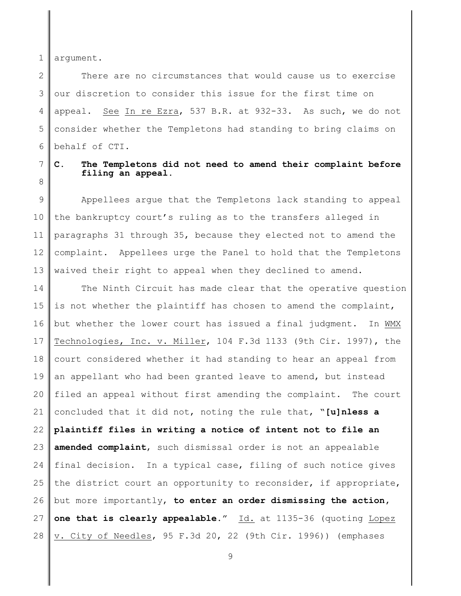1 argument.

2 3 4 5 6 There are no circumstances that would cause us to exercise our discretion to consider this issue for the first time on appeal. See In re Ezra, 537 B.R. at 932-33. As such, we do not consider whether the Templetons had standing to bring claims on behalf of CTI.

7 8

# **C. The Templetons did not need to amend their complaint before filing an appeal.**

9 10 11 12 13 Appellees argue that the Templetons lack standing to appeal the bankruptcy court's ruling as to the transfers alleged in paragraphs 31 through 35, because they elected not to amend the complaint. Appellees urge the Panel to hold that the Templetons waived their right to appeal when they declined to amend.

14 15 16 17 18 19 20 21 22 23 24 25 26 27 28 The Ninth Circuit has made clear that the operative question is not whether the plaintiff has chosen to amend the complaint, but whether the lower court has issued a final judgment. In WMX Technologies, Inc. v. Miller, 104 F.3d 1133 (9th Cir. 1997), the court considered whether it had standing to hear an appeal from an appellant who had been granted leave to amend, but instead filed an appeal without first amending the complaint. The court concluded that it did not, noting the rule that, "**[u]nless a plaintiff files in writing a notice of intent not to file an amended complaint**, such dismissal order is not an appealable final decision. In a typical case, filing of such notice gives the district court an opportunity to reconsider, if appropriate, but more importantly, **to enter an order dismissing the action, one that is clearly appealable**." Id. at 1135-36 (quoting Lopez v. City of Needles, 95 F.3d 20, 22 (9th Cir. 1996)) (emphases